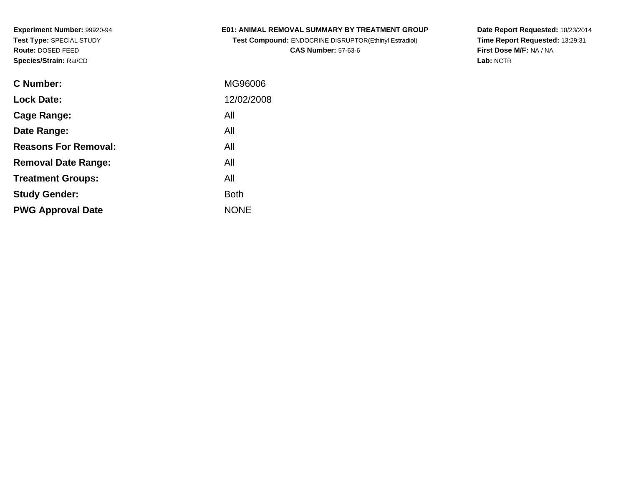## **E01: ANIMAL REMOVAL SUMMARY BY TREATMENT GROUP**

**Test Compound:** ENDOCRINE DISRUPTOR(Ethinyl Estradiol)**CAS Number:** 57-63-6

| C Number:                   | MG96006     |
|-----------------------------|-------------|
| <b>Lock Date:</b>           | 12/02/2008  |
| Cage Range:                 | All         |
| Date Range:                 | All         |
| <b>Reasons For Removal:</b> | All         |
| <b>Removal Date Range:</b>  | All         |
| <b>Treatment Groups:</b>    | All         |
| <b>Study Gender:</b>        | <b>Both</b> |
| <b>PWG Approval Date</b>    | <b>NONE</b> |
|                             |             |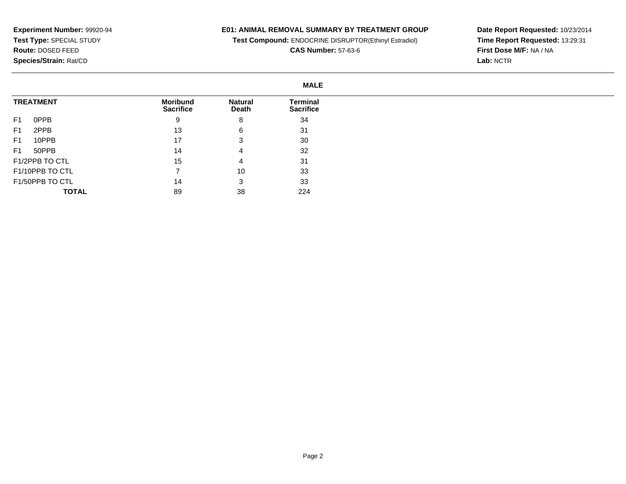## **E01: ANIMAL REMOVAL SUMMARY BY TREATMENT GROUP**

**Test Compound:** ENDOCRINE DISRUPTOR(Ethinyl Estradiol)

**CAS Number:** 57-63-6

|                         | <b>MALE</b>                         |                         |                              |
|-------------------------|-------------------------------------|-------------------------|------------------------------|
| <b>TREATMENT</b>        | <b>Moribund</b><br><b>Sacrifice</b> | <b>Natural</b><br>Death | Terminal<br><b>Sacrifice</b> |
| F <sub>1</sub><br>0PPB  | 9                                   | 8                       | 34                           |
| 2PPB<br>F <sub>1</sub>  | 13                                  | 6                       | 31                           |
| 10PPB<br>F <sub>1</sub> | 17                                  | 3                       | 30                           |
| 50PPB<br>F1             | 14                                  | 4                       | 32                           |
| F1/2PPB TO CTL          | 15                                  | 4                       | 31                           |
| F1/10PPB TO CTL         |                                     | 10                      | 33                           |
| F1/50PPB TO CTL         | 14                                  | 3                       | 33                           |
| <b>TOTAL</b>            | 89                                  | 38                      | 224                          |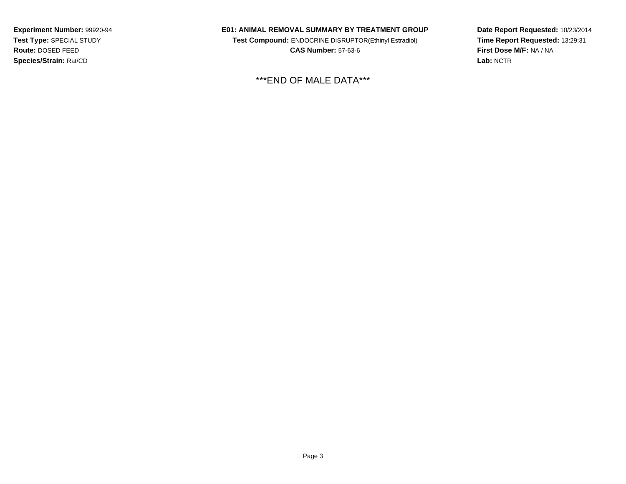#### **E01: ANIMAL REMOVAL SUMMARY BY TREATMENT GROUP**

**Test Compound:** ENDOCRINE DISRUPTOR(Ethinyl Estradiol)**CAS Number:** 57-63-6

\*\*\*END OF MALE DATA\*\*\*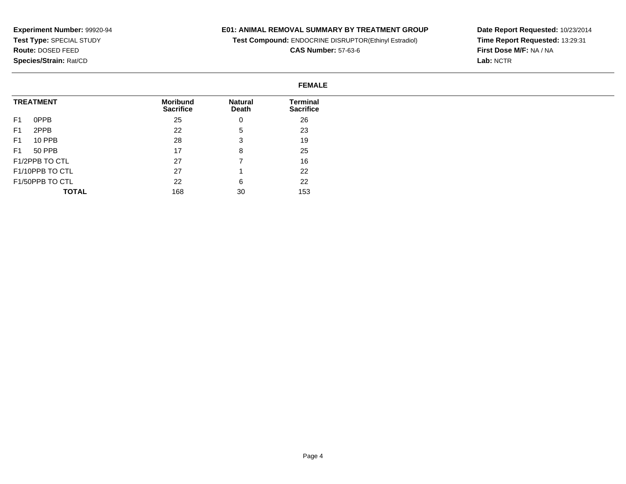## **E01: ANIMAL REMOVAL SUMMARY BY TREATMENT GROUP**

**Test Compound:** ENDOCRINE DISRUPTOR(Ethinyl Estradiol)

**CAS Number:** 57-63-6

**Date Report Requested:** 10/23/2014 **Time Report Requested:** 13:29:31**First Dose M/F:** NA / NA**Lab:** NCTR

#### **FEMALETREATMENT**F1 0PPB F1 2PPB F1 10 PPB F1 50 PPB F1/2PPB TO CTL F1/10PPB TO CTL F1/50PPB TO CTL **TOTALMoribund Sacrifice**25 22 28 17 27 27 22 168**Natural Death**0 5 3 8 7 1 6 30**Terminal Sacrifice**26 23 19 25 16 22 22153